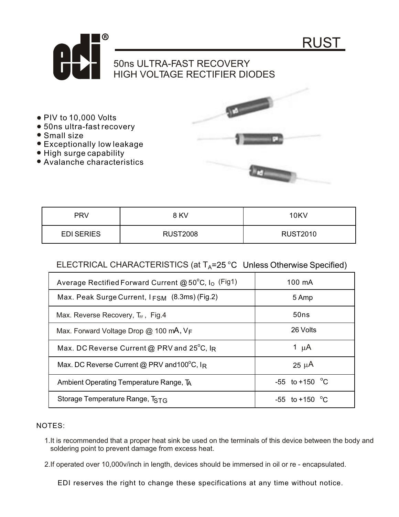

- PIV to 10,000 Volts
- 50ns ultra-fast recovery
- Small size
- Exceptionally low leakage
- High surge capability
- Avalanche characteristics



| <b>PRV</b>        | 8 KV            | 10KV            |
|-------------------|-----------------|-----------------|
| <b>EDI SERIES</b> | <b>RUST2008</b> | <b>RUST2010</b> |

## ELECTRICAL CHARACTERISTICS (at  $T_A$ =25 °C Unless Otherwise Specified)

| Average Rectified Forward Current @ $50^{\circ}$ C, I <sub>o</sub> (Fig1) | 100 mA             |
|---------------------------------------------------------------------------|--------------------|
| Max. Peak Surge Current, $I_{FSM}$ (8.3ms) (Fig.2)                        | 5 Amp              |
| Max. Reverse Recovery, Trr., Fig.4                                        | 50ns               |
| Max. Forward Voltage Drop $@$ 100 mA, $V_F$                               | 26 Volts           |
| Max. DC Reverse Current @ PRV and $25^{\circ}$ C, I <sub>R</sub>          | 1 $\mu$ A          |
| Max. DC Reverse Current @ PRV and 100°C, IR                               | $25 \mu A$         |
| Ambient Operating Temperature Range, TA                                   | $-55$ to $+150$ °C |
| Storage Temperature Range, TSTG                                           | $-55$ to $+150$ °C |

## NOTES:

1.It is recommended that a proper heat sink be used on the terminals of this device between the body and soldering point to prevent damage from excess heat.

2.If operated over 10,000v/inch in length, devices should be immersed in oil or re - encapsulated.

EDI reserves the right to change these specifications at any time without notice.